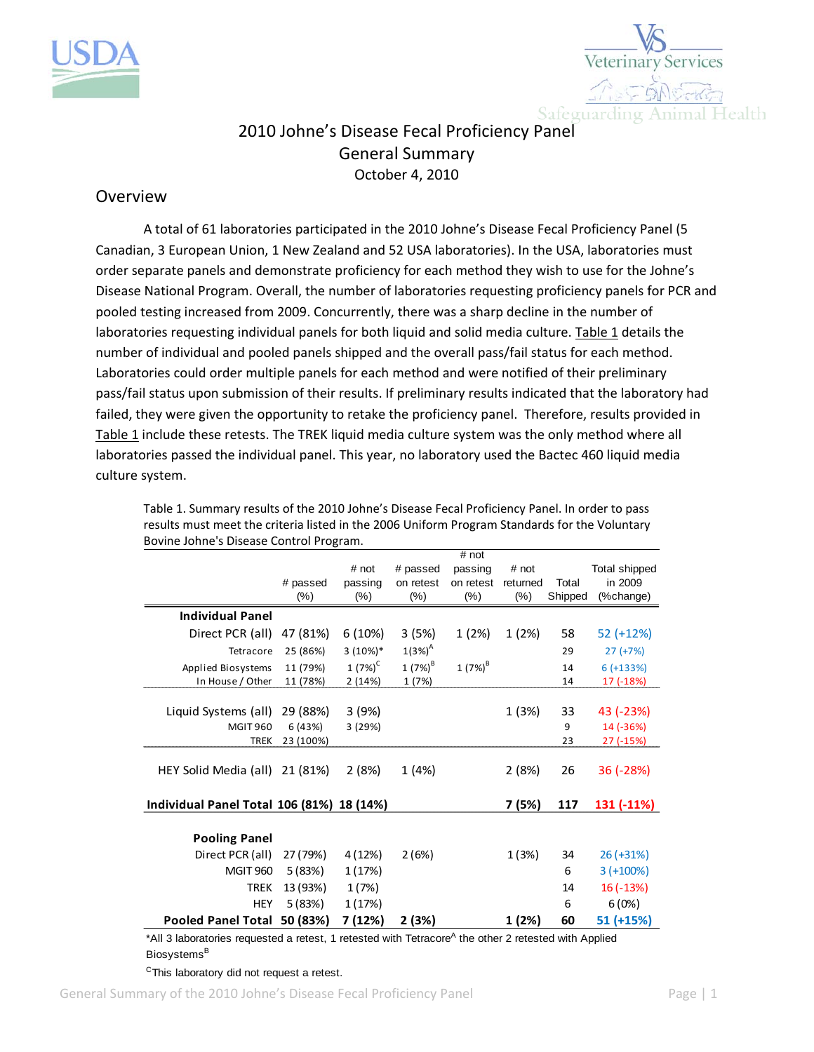



## 2010 Johne's Disease Fecal Proficiency Panel General Summary October 4, 2010

## Overview

A total of 61 laboratories participated in the 2010 Johne's Disease Fecal Proficiency Panel (5 Canadian, 3 European Union, 1 New Zealand and 52 USA laboratories). In the USA, laboratories must order separate panels and demonstrate proficiency for each method they wish to use for the Johne's Disease National Program. Overall, the number of laboratories requesting proficiency panels for PCR and pooled testing increased from 2009. Concurrently, there was a sharp decline in the number of laboratories requesting individual panels for both liquid and solid media culture. Table 1 details the number of individual and pooled panels shipped and the overall pass/fail status for each method. Laboratories could order multiple panels for each method and were notified of their preliminary pass/fail status upon submission of their results. If preliminary results indicated that the laboratory had failed, they were given the opportunity to retake the proficiency panel. Therefore, results provided in Table 1 include these retests. The TREK liquid media culture system was the only method where all laboratories passed the individual panel. This year, no laboratory used the Bactec 460 liquid media culture system.

|                                           | # passed<br>$(\%)$ | # not<br>passing<br>$(\%)$ | # passed<br>on retest<br>$(\%)$ | # not<br>passing<br>on retest<br>$(\%)$ | # not<br>returned<br>$(\% )$ | Total<br>Shipped | Total shipped<br>in 2009<br>(%change) |
|-------------------------------------------|--------------------|----------------------------|---------------------------------|-----------------------------------------|------------------------------|------------------|---------------------------------------|
| <b>Individual Panel</b>                   |                    |                            |                                 |                                         |                              |                  |                                       |
| Direct PCR (all)                          | 47 (81%)           | 6(10%)                     | 3 (5%)                          | 1(2%)                                   | 1(2%)                        | 58               | 52 (+12%)                             |
| Tetracore                                 | 25 (86%)           | $3(10\%)*$                 | $1(3%)^{A}$                     |                                         |                              | 29               | $27 (+7%)$                            |
| Applied Biosystems                        | 11 (79%)           | $1(7%)^C$                  | $1 (7%)^B$                      | 1 $(7%)^B$                              |                              | 14               | $6 (+133%)$                           |
| In House / Other                          | 11 (78%)           | 2(14%)                     | 1 (7%)                          |                                         |                              | 14               | 17 (-18%)                             |
| Liquid Systems (all)                      | 29 (88%)           | 3(9%)                      |                                 |                                         | 1 (3%)                       | 33               | 43 (-23%)                             |
| <b>MGIT 960</b>                           | 6 (43%)            | 3 (29%)                    |                                 |                                         |                              | 9                | 14 (-36%)                             |
| <b>TREK</b>                               | 23 (100%)          |                            |                                 |                                         |                              | 23               | 27 (-15%)                             |
| HEY Solid Media (all)                     | 21 (81%)           | 2(8%)                      | 1 (4%)                          |                                         | 2(8%)                        | 26               | 36 (-28%)                             |
| Individual Panel Total 106 (81%) 18 (14%) |                    |                            |                                 |                                         | 7 (5%)                       | 117              | 131 (-11%)                            |
| <b>Pooling Panel</b>                      |                    |                            |                                 |                                         |                              |                  |                                       |
| Direct PCR (all)                          | 27 (79%)           | 4 (12%)                    | 2(6%)                           |                                         | 1(3%)                        | 34               | $26 (+31%)$                           |
| <b>MGIT 960</b>                           | 5(83%)             | 1(17%)                     |                                 |                                         |                              | 6                | $3(+100%)$                            |
| <b>TREK</b>                               | 13 (93%)           | 1(7%)                      |                                 |                                         |                              | 14               | $16(-13%)$                            |
| <b>HEY</b>                                | 5(83%)             | 1(17%)                     |                                 |                                         |                              | 6                | 6(0%)                                 |
| <b>Pooled Panel Total</b>                 | 50 (83%)           | 7 (12%)                    | 2 (3%)                          |                                         | 1 (2%)                       | 60               | 51 (+15%)                             |

Table 1. Summary results of the 2010 Johne's Disease Fecal Proficiency Panel. In order to pass results must meet the criteria listed in the 2006 Uniform Program Standards for the Voluntary Bovine Johne's Disease Control Program.

\*All 3 laboratories requested a retest, 1 retested with Tetracore<sup>A</sup> the other 2 retested with Applied Biosystems<sup>B</sup>

<sup>C</sup>This laboratory did not request a retest.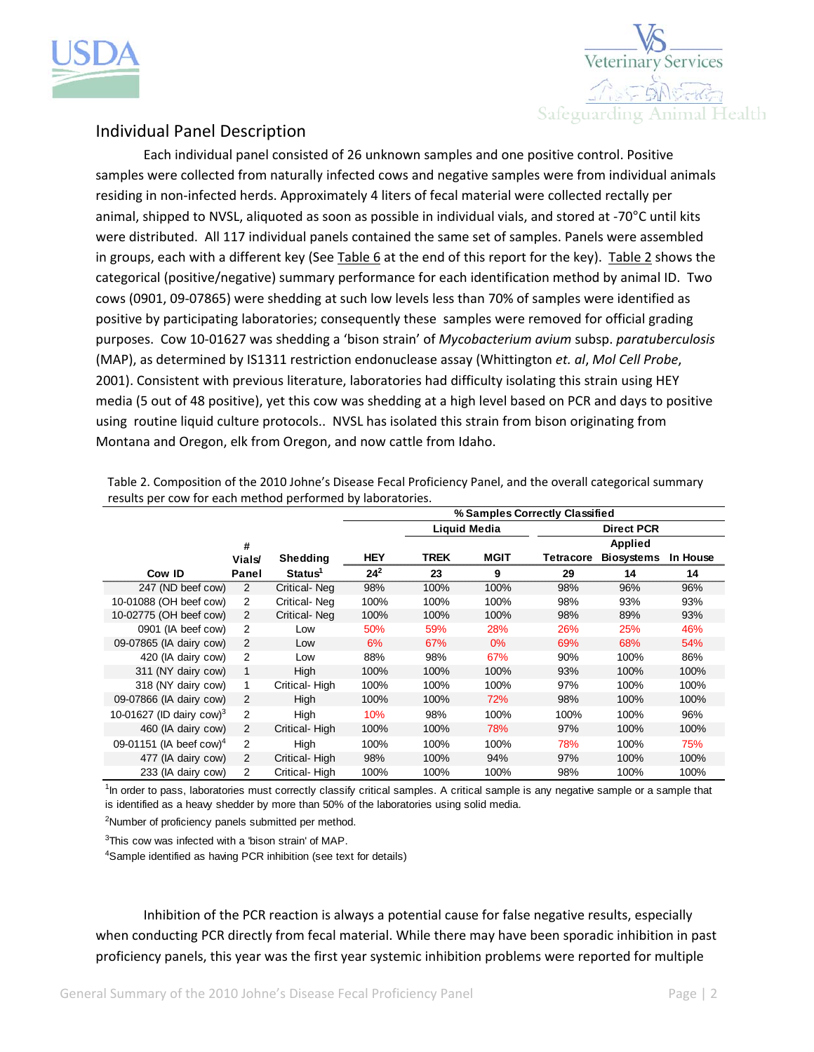



## Individual Panel Description

Each individual panel consisted of 26 unknown samples and one positive control. Positive samples were collected from naturally infected cows and negative samples were from individual animals residing in non‐infected herds. Approximately 4 liters of fecal material were collected rectally per animal, shipped to NVSL, aliquoted as soon as possible in individual vials, and stored at ‐70°C until kits were distributed. All 117 individual panels contained the same set of samples. Panels were assembled in groups, each with a different key (See Table 6 at the end of this report for the key). Table 2 shows the categorical (positive/negative) summary performance for each identification method by animal ID. Two cows (0901, 09‐07865) were shedding at such low levels less than 70% of samples were identified as positive by participating laboratories; consequently these samples were removed for official grading purposes. Cow 10‐01627 was shedding a 'bison strain' of *Mycobacterium avium* subsp. *paratuberculosis* (MAP), as determined by IS1311 restriction endonuclease assay (Whittington *et. al*, *Mol Cell Probe*, 2001). Consistent with previous literature, laboratories had difficulty isolating this strain using HEY media (5 out of 48 positive), yet this cow was shedding at a high level based on PCR and days to positive using routine liquid culture protocols.. NVSL has isolated this strain from bison originating from Montana and Oregon, elk from Oregon, and now cattle from Idaho.

|                                      |                |                     | % Samples Correctly Classified |             |                     |                  |                   |          |
|--------------------------------------|----------------|---------------------|--------------------------------|-------------|---------------------|------------------|-------------------|----------|
|                                      |                |                     |                                |             | <b>Liquid Media</b> |                  | <b>Direct PCR</b> |          |
|                                      | #              |                     |                                |             |                     |                  | <b>Applied</b>    |          |
|                                      | <b>Vials</b>   | Shedding            | <b>HEY</b>                     | <b>TREK</b> | <b>MGIT</b>         | <b>Tetracore</b> | <b>Biosystems</b> | In House |
| Cow ID                               | Panel          | Status <sup>1</sup> | $24^{2}$                       | 23          | 9                   | 29               | 14                | 14       |
| 247 (ND beef cow)                    | 2              | Critical-Neg        | 98%                            | 100%        | 100%                | 98%              | 96%               | 96%      |
| 10-01088 (OH beef cow)               | 2              | Critical-Neg        | 100%                           | 100%        | 100%                | 98%              | 93%               | 93%      |
| 10-02775 (OH beef cow)               | 2              | Critical-Neg        | 100%                           | 100%        | 100%                | 98%              | 89%               | 93%      |
| 0901 (IA beef cow)                   | 2              | Low                 | 50%                            | 59%         | 28%                 | 26%              | 25%               | 46%      |
| 09-07865 (IA dairy cow)              | 2              | Low                 | 6%                             | 67%         | $0\%$               | 69%              | 68%               | 54%      |
| 420 (IA dairy cow)                   | 2              | Low                 | 88%                            | 98%         | 67%                 | 90%              | 100%              | 86%      |
| 311 (NY dairy cow)                   | 1              | High                | 100%                           | 100%        | 100%                | 93%              | 100%              | 100%     |
| 318 (NY dairy cow)                   | 1              | Critical-High       | 100%                           | 100%        | 100%                | 97%              | 100%              | 100%     |
| 09-07866 (IA dairy cow)              | 2              | High                | 100%                           | 100%        | 72%                 | 98%              | 100%              | 100%     |
| 10-01627 (ID dairy cow) <sup>3</sup> | $\overline{2}$ | High                | 10%                            | 98%         | 100%                | 100%             | 100%              | 96%      |
| 460 (IA dairy cow)                   | 2              | Critical-High       | 100%                           | 100%        | 78%                 | 97%              | 100%              | 100%     |
| 09-01151 (IA beef cow) <sup>4</sup>  | 2              | High                | 100%                           | 100%        | 100%                | 78%              | 100%              | 75%      |
| 477 (IA dairy cow)                   | 2              | Critical-High       | 98%                            | 100%        | 94%                 | 97%              | 100%              | 100%     |
| 233 (IA dairy cow)                   | 2              | Critical-High       | 100%                           | 100%        | 100%                | 98%              | 100%              | 100%     |

Table 2. Composition of the 2010 Johne's Disease Fecal Proficiency Panel, and the overall categorical summary results per cow for each method performed by laboratories.

<sup>1</sup>In order to pass, laboratories must correctly classify critical samples. A critical sample is any negative sample or a sample that is identified as a heavy shedder by more than 50% of the laboratories using solid media.

<sup>2</sup>Number of proficiency panels submitted per method.

<sup>3</sup>This cow was infected with a 'bison strain' of MAP.

<sup>4</sup>Sample identified as having PCR inhibition (see text for details)

Inhibition of the PCR reaction is always a potential cause for false negative results, especially when conducting PCR directly from fecal material. While there may have been sporadic inhibition in past proficiency panels, this year was the first year systemic inhibition problems were reported for multiple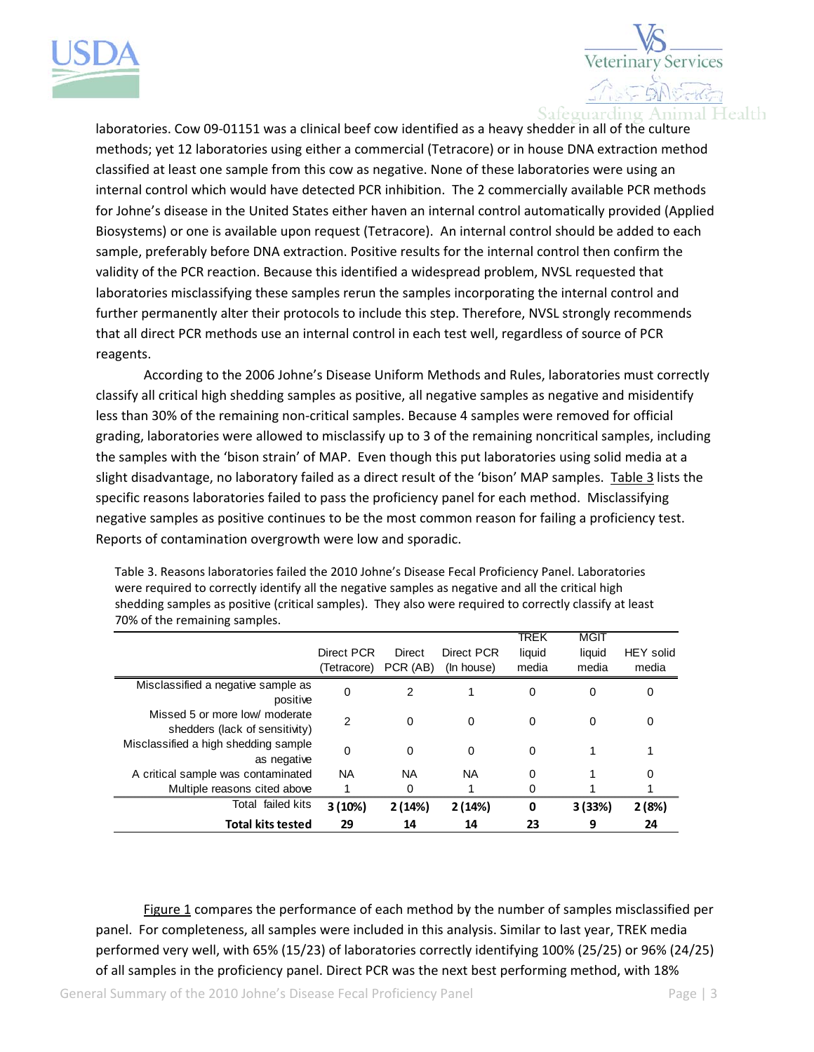



laboratories. Cow 09‐01151 was a clinical beef cow identified as a heavy shedder in all of the culture methods; yet 12 laboratories using either a commercial (Tetracore) or in house DNA extraction method classified at least one sample from this cow as negative. None of these laboratories were using an internal control which would have detected PCR inhibition. The 2 commercially available PCR methods for Johne's disease in the United States either haven an internal control automatically provided (Applied Biosystems) or one is available upon request (Tetracore). An internal control should be added to eac h sample, preferably before DNA extraction. Positive results for the internal control then confirm th e validity of the PCR reaction. Because this identified a widespread problem, NVSL requested that laboratories misclassifying these samples rerun the samples incorporating the internal control and further permanently alter their protocols to include this step. Therefore, NVSL strongly recomme nds that all dire ct PCR methods use an internal control in each test well, regardless of source of PCR reagent s.

According to the 2006 Johne's Disease Uniform Methods and Rules, laboratories must correctly classify all critical high shedding samples as positive, all negative samples as negative and misidentify grading, laboratories were allowed to misclassify up to 3 of the remaining noncritical samples, including less than 30% of the remaining non-critical samples. Because 4 samples were removed for official the samples with the 'bison strain' of MAP. Even though this put laboratories using solid media at a slight disadvantage, no laboratory failed as a direct result of the 'bison' MAP samples. In table 3 lists the specific reasons laboratories failed to pass the proficiency panel for each method. Misclassifying negative samples as positive continues to be the most common reason for failing a proficiency test. Reports of contamination overgrowth were low and sporadic.

| $1010$ . Chicken Chinaming San press.                            |                           |                    |                          |                         |                                |                    |
|------------------------------------------------------------------|---------------------------|--------------------|--------------------------|-------------------------|--------------------------------|--------------------|
|                                                                  | Direct PCR<br>(Tetracore) | Direct<br>PCR (AB) | Direct PCR<br>(In house) | TREK<br>liquid<br>media | <b>MGIT</b><br>liquid<br>media | HEY solid<br>media |
| Misclassified a negative sample as<br>positive                   | 0                         | 2                  |                          | 0                       | 0                              | 0                  |
| Missed 5 or more low/ moderate<br>shedders (lack of sensitivity) | 2                         | $\mathbf 0$        | $\mathbf 0$              | $\mathbf 0$             | 0                              | 0                  |
| Misclassified a high shedding sample<br>as negative              | 0                         | 0                  | $\mathbf 0$              | 0                       |                                |                    |
| A critical sample was contaminated                               | <b>NA</b>                 | NA.                | ΝA                       | 0                       |                                | 0                  |
| Multiple reasons cited above                                     |                           | 0                  |                          | 0                       |                                |                    |
| Total failed kits                                                | 3(10%)                    | 2(14%)             | 2(14%)                   | 0                       | 3(33%)                         | 2(8%)              |
| <b>Total kits tested</b>                                         | 29                        | 14                 | 14                       | 23                      | 9                              | 24                 |

Table 3. Reasons laboratories failed the 2010 Johne's Disease Fecal Proficiency Panel. Laboratories shedding samples as positive (critical samples). They also were required to correctly classify at least were required to correctly identify all the negative samples as negative and all the critical high 70% of the remaining samples.

Figure 1 compares the performance of each method by the number of samples misclassified per panel. For completeness, all samples were included in this analysis. Similar to last year, TREK media performed very well, with 65% (15/23) of laboratories correctly identifying 100% (25/25) or 96% (24 /25) of all samples in the proficiency panel. Direct PCR was the next best performing method, with 18%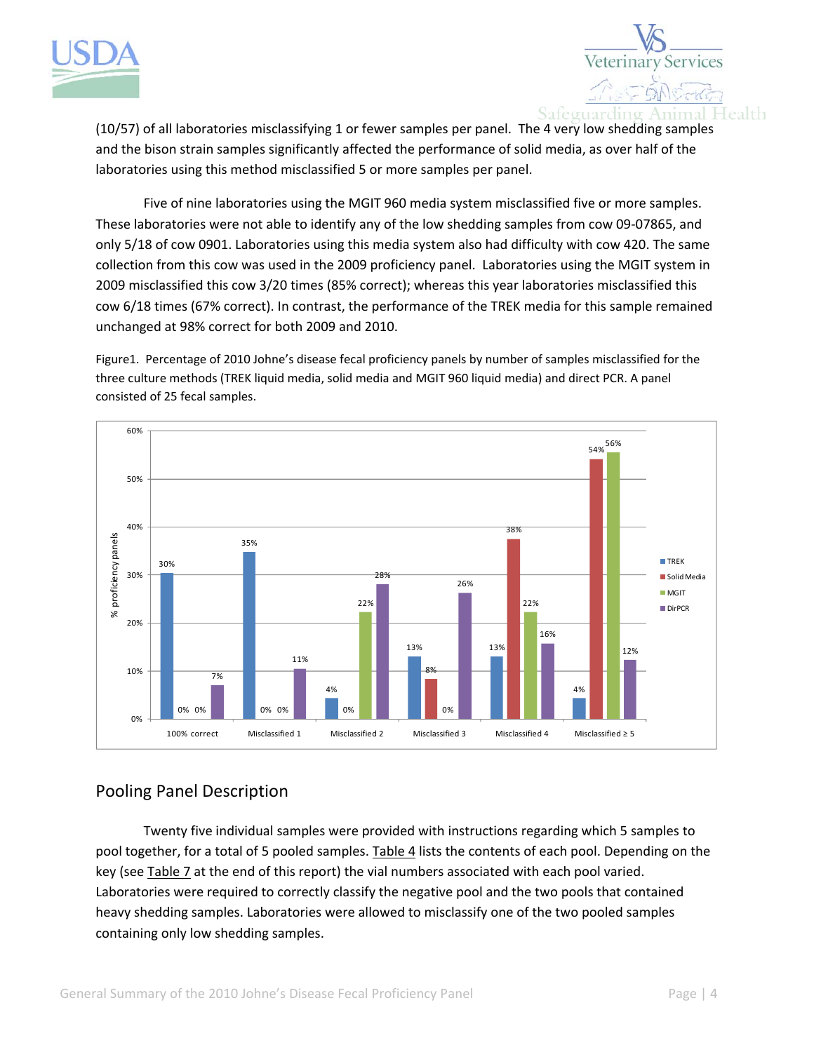



(10/57) of all laboratories misclassifying 1 or fewer samples per panel. The 4 very low shedding sample s and the bison strain samples significantly affected the performance of solid media, as over half of the laboratories using this method misclassified 5 or more samples per panel.

cow 6/18 times (67% correct). In contrast, the performance of the TREK media for this sample remained unchanged at 98% correct for both 2009 and 2010. Five of nine laboratories using the MGIT 960 media system misclassified five or more samples. These laboratories were not able to identify any of the low shedding samples from cow 09‐07865, and only 5/18 of cow 0901. Laboratories using this media system also had difficulty with cow 420. The same collection from this cow was used in the 2009 proficiency panel. Laboratories using the MGIT system in 2009 misclassified this cow 3/20 times (85% correct); whereas this year laboratories misclassified this

Figure1. Percentage of 2010 Johne's disease fecal proficiency panels by number of samples misclassified for the three culture methods (TREK liquid media, solid media and MGIT 960 liquid media) and direct PCR. A panel consisted of 25 fecal samples.



## Pooling Panel Description

Twenty five individual samples were provided with instructions regarding which 5 samples to pool together, for a total of 5 pooled samples. Table 4 lists the contents of each pool. Depending on the key (see Table 7 at the end of this report) the vial numbers associated with each pool varied. Laboratories were required to correctly classify the negative pool and the two pools that contained heavy shedding samples. Laboratories were allowed to misclassify one of the two pooled samples containing only low shedding samples.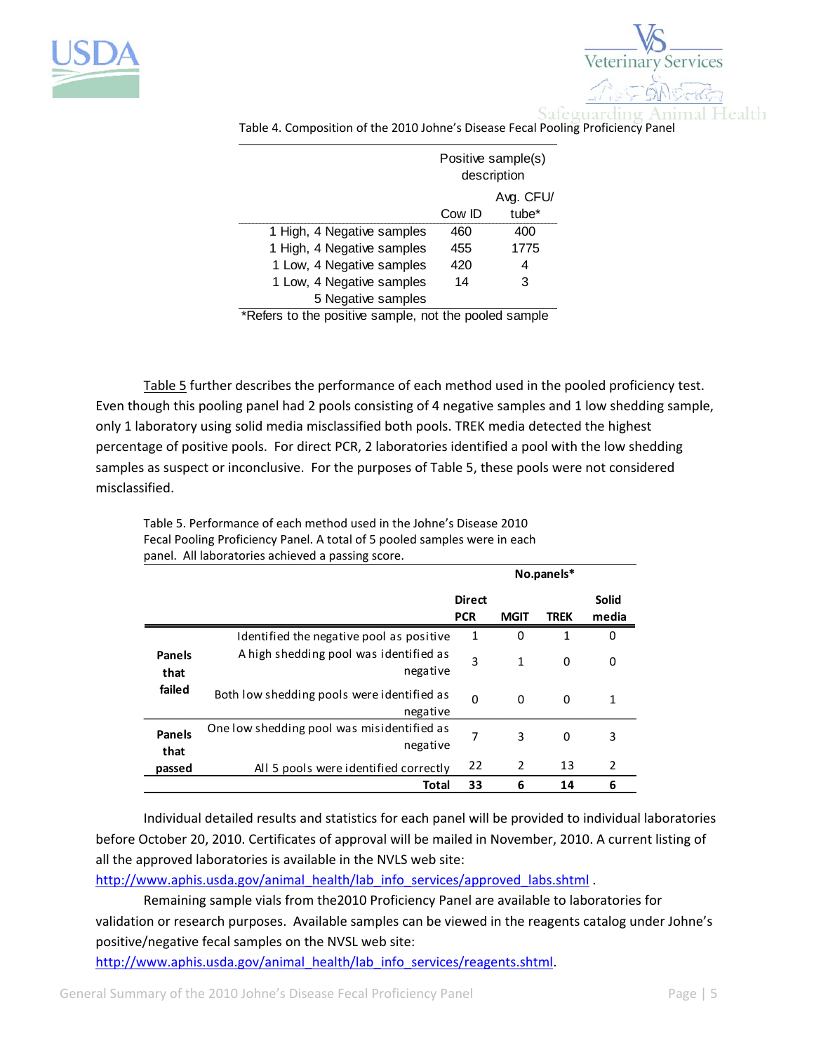



|                            | Positive sample(s)<br>description |                   |  |
|----------------------------|-----------------------------------|-------------------|--|
|                            | Avg. CFU/                         |                   |  |
|                            | Cow ID                            | tube <sup>*</sup> |  |
| 1 High, 4 Negative samples | 460                               | 400               |  |
| 1 High, 4 Negative samples | 455                               | 1775              |  |
| 1 Low, 4 Negative samples  | 420                               | 4                 |  |
| 1 Low, 4 Negative samples  | 14                                | 3                 |  |
| 5 Negative samples         |                                   |                   |  |

Table 4. Composition of the 2010 Johne's Disease Fecal Pooling Proficiency Panel

\*Refers to the positive sample, not the pooled sample

Table 5 further describes the performance of each method used in the pooled proficiency test. Even though this pooling panel had 2 pools consisting of 4 negative samples and 1 low shedding sample, only 1 laboratory using solid media misclassified both pools. TREK media detected the highest percentage of positive pools. For direct PCR, 2 laboratories identified a pool with the low shedding samples as suspect or inconclusive. For the purposes of Table 5, these pools were not considered misclassified.

|                       |                                                        |               |             | No.panels*  |              |
|-----------------------|--------------------------------------------------------|---------------|-------------|-------------|--------------|
|                       |                                                        | <b>Direct</b> |             |             | <b>Solid</b> |
|                       |                                                        | <b>PCR</b>    | <b>MGIT</b> | <b>TREK</b> | media        |
|                       | Identified the negative pool as positive               | 1             | 0           | 1           | 0            |
| <b>Panels</b><br>that | A high shedding pool was identified as<br>negative     | 3             | 1           | $\mathbf 0$ | 0            |
| failed                | Both low shedding pools were identified as<br>negative | $\Omega$      | 0           | 0           | 1            |
| <b>Panels</b><br>that | One low shedding pool was misidentified as<br>negative | 7             | 3           | $\mathbf 0$ | 3            |
| passed                | All 5 pools were identified correctly                  | 22            | 2           | 13          | 2            |
|                       | Total                                                  | 33            | 6           | 14          | 6            |

Table 5. Performance of each method used in the Johne's Disease 2010 Fecal Pooling Proficiency Panel. A total of 5 pooled samples were in each panel. All laboratories achieved a passing score.

Individual detailed results and statistics for each panel will be provided to individual laboratories before October 20, 2010. Certificates of approval will be mailed in November, 2010. A current listing of all the approved laboratories is available in the NVLS web site:

[http://www.aphis.usda.gov/animal\\_health/lab\\_info\\_services/approved\\_labs.shtml](http://www.aphis.usda.gov/animal_health/lab_info_services/approved_labs.shtml) .

Remaining sample vials from the2010 Proficiency Panel are available to laboratories for validation or research purposes. Available samples can be viewed in the reagents catalog under Johne's positive/negative fecal samples on the NVSL web site:

[http://www.aphis.usda.gov/animal\\_health/lab\\_info\\_services/reagents.shtml](http://www.aphis.usda.gov/animal_health/lab_info_services/reagents.shtml).